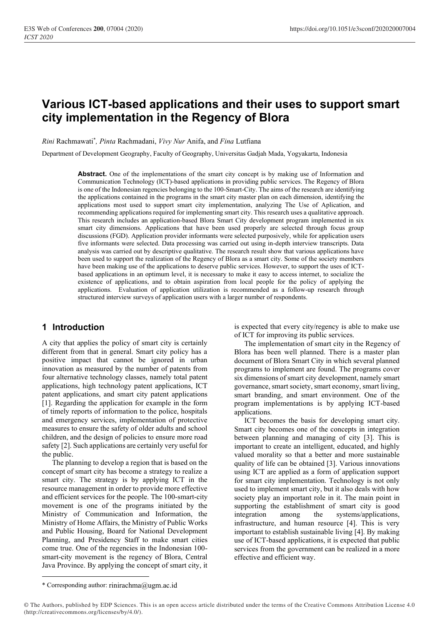# **Various ICT-based applications and their uses to support smart city implementation in the Regency of Blora**

*Rini* Rachmawati\* *, Pinta* Rachmadani, *Vivy Nur* Anifa, and *Fina* Lutfiana

Department of Development Geography, Faculty of Geography, Universitas Gadjah Mada, Yogyakarta, Indonesia

**Abstract.** One of the implementations of the smart city concept is by making use of Information and Communication Technology (ICT)-based applications in providing public services. The Regency of Blora is one of the Indonesian regencies belonging to the 100-Smart-City. The aims of the research are identifying the applications contained in the programs in the smart city master plan on each dimension, identifying the applications most used to support smart city implementation, analyzing The Use of Aplication, and recommending applications required for implementing smart city. This research uses a qualitative approach. This research includes an application-based Blora Smart City development program implemented in six smart city dimensions. Applications that have been used properly are selected through focus group discussions (FGD). Application provider informants were selected purposively, while for application users five informants were selected. Data processing was carried out using in-depth interview transcripts. Data analysis was carried out by descriptive qualitative. The research result show that various applications have been used to support the realization of the Regency of Blora as a smart city. Some of the society members have been making use of the applications to deserve public services. However, to support the uses of ICTbased applications in an optimum level, it is necessary to make it easy to access internet, to socialize the existence of applications, and to obtain aspiration from local people for the policy of applying the applications. Evaluation of application utilization is recommended as a follow-up research through structured interview surveys of application users with a larger number of respondents.

### **1 Introduction**

A city that applies the policy of smart city is certainly different from that in general. Smart city policy has a positive impact that cannot be ignored in urban innovation as measured by the number of patents from four alternative technology classes, namely total patent applications, high technology patent applications, ICT patent applications, and smart city patent applications [1]. Regarding the application for example in the form of timely reports of information to the police, hospitals and emergency services, implementation of protective measures to ensure the safety of older adults and school children, and the design of policies to ensure more road safety [2]. Such applications are certainly very useful for the public.

The planning to develop a region that is based on the concept of smart city has become a strategy to realize a smart city. The strategy is by applying ICT in the resource management in order to provide more effective and efficient services for the people. The 100-smart-city movement is one of the programs initiated by the Ministry of Communication and Information, the Ministry of Home Affairs, the Ministry of Public Works and Public Housing, Board for National Development Planning, and Presidency Staff to make smart cities come true. One of the regencies in the Indonesian 100 smart-city movement is the regency of Blora, Central Java Province. By applying the concept of smart city, it is expected that every city/regency is able to make use of ICT for improving its public services.

The implementation of smart city in the Regency of Blora has been well planned. There is a master plan document of Blora Smart City in which several planned programs to implement are found. The programs cover six dimensions of smart city development, namely smart governance, smart society, smart economy, smart living, smart branding, and smart environment. One of the program implementations is by applying ICT-based applications.

ICT becomes the basis for developing smart city. Smart city becomes one of the concepts in integration between planning and managing of city [3]. This is important to create an intelligent, educated, and highly valued morality so that a better and more sustainable quality of life can be obtained [3]. Various innovations using ICT are applied as a form of application support for smart city implementation. Technology is not only used to implement smart city, but it also deals with how society play an important role in it. The main point in supporting the establishment of smart city is good integration among the systems/applications, infrastructure, and human resource [4]. This is very important to establish sustainable living [4]. By making use of ICT-based applications, it is expected that public services from the government can be realized in a more effective and efficient way.

<sup>\*</sup> Corresponding author: rinirachma@ugm.ac.id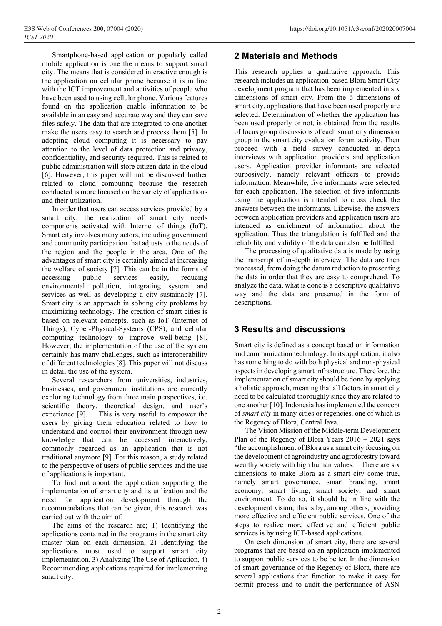Smartphone-based application or popularly called mobile application is one the means to support smart city. The means that is considered interactive enough is the application on cellular phone because it is in line with the ICT improvement and activities of people who have been used to using cellular phone. Various features found on the application enable information to be available in an easy and accurate way and they can save files safely. The data that are integrated to one another make the users easy to search and process them [5]. In adopting cloud computing it is necessary to pay attention to the level of data protection and privacy, confidentiality, and security required. This is related to public administration will store citizen data in the cloud [6]. However, this paper will not be discussed further related to cloud computing because the research conducted is more focused on the variety of applications and their utilization.

In order that users can access services provided by a smart city, the realization of smart city needs components activated with Internet of things (IoT). Smart city involves many actors, including government and community participation that adjusts to the needs of the region and the people in the area. One of the advantages of smart city is certainly aimed at increasing the welfare of society [7]. This can be in the forms of accessing public services easily, reducing environmental pollution, integrating system and services as well as developing a city sustainably [7]. Smart city is an approach in solving city problems by maximizing technology. The creation of smart cities is based on relevant concepts, such as IoT (Internet of Things), Cyber-Physical-Systems (CPS), and cellular computing technology to improve well-being [8]. However, the implementation of the use of the system certainly has many challenges, such as interoperability of different technologies [8]. This paper will not discuss in detail the use of the system.

Several researchers from universities, industries, businesses, and government institutions are currently exploring technology from three main perspectives, i.e. scientific theory, theoretical design, and user's experience [9]. This is very useful to empower the users by giving them education related to how to understand and control their environment through new knowledge that can be accessed interactively, commonly regarded as an application that is not traditional anymore [9]. For this reason, a study related to the perspective of users of public services and the use of applications is important.

To find out about the application supporting the implementation of smart city and its utilization and the need for application development through the recommendations that can be given, this research was carried out with the aim of;

The aims of the research are; 1) Identifying the applications contained in the programs in the smart city master plan on each dimension, 2) Identifying the applications most used to support smart city implementation, 3) Analyzing The Use of Aplication, 4) Recommending applications required for implementing smart city.

## **2 Materials and Methods**

This research applies a qualitative approach. This research includes an application-based Blora Smart City development program that has been implemented in six dimensions of smart city. From the 6 dimensions of smart city, applications that have been used properly are selected. Determination of whether the application has been used properly or not, is obtained from the results of focus group discussions of each smart city dimension group in the smart city evaluation forum activity. Then proceed with a field survey conducted in-depth interviews with application providers and application users. Application provider informants are selected purposively, namely relevant officers to provide information. Meanwhile, five informants were selected for each application. The selection of five informants using the application is intended to cross check the answers between the informants. Likewise, the answers between application providers and application users are intended as enrichment of information about the application. Thus the triangulation is fulfilled and the reliability and validity of the data can also be fulfilled.

The processing of qualitative data is made by using the transcript of in-depth interview. The data are then processed, from doing the datum reduction to presenting the data in order that they are easy to comprehend. To analyze the data, what is done is a descriptive qualitative way and the data are presented in the form of descriptions.

## **3 Results and discussions**

Smart city is defined as a concept based on information and communication technology. In its application, it also has something to do with both physical and non-physical aspects in developing smart infrastructure. Therefore, the implementation of smart city should be done by applying a holistic approach, meaning that all factors in smart city need to be calculated thoroughly since they are related to one another [10]. Indonesia has implemented the concept of *smart city* in many cities or regencies, one of which is the Regency of Blora, Central Java.

The Vision Mission of the Middle-term Development Plan of the Regency of Blora Years  $2016 - 2021$  says "the accomplishment of Blora as a smart city focusing on the development of agroindustry and agroforestry toward wealthy society with high human values. There are six dimensions to make Blora as a smart city come true, namely smart governance, smart branding, smart economy, smart living, smart society, and smart environment. To do so, it should be in line with the development vision; this is by, among others, providing more effective and efficient public services. One of the steps to realize more effective and efficient public services is by using ICT-based applications.

On each dimension of smart city, there are several programs that are based on an application implemented to support public services to be better. In the dimension of smart governance of the Regency of Blora, there are several applications that function to make it easy for permit process and to audit the performance of ASN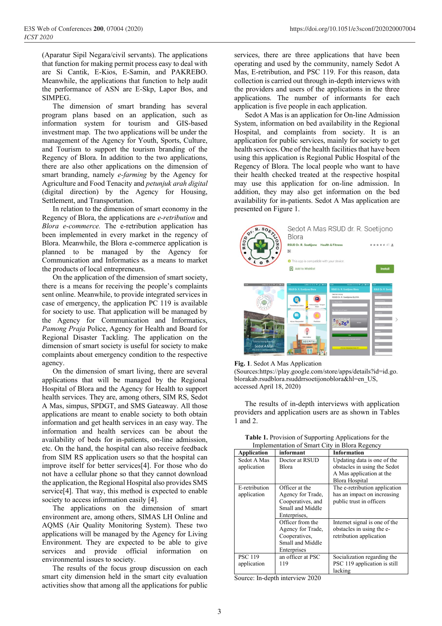(Aparatur Sipil Negara/civil servants). The applications that function for making permit process easy to deal with are Si Cantik, E-Kios, E-Samin, and PAKREBO. Meanwhile, the applications that function to help audit the performance of ASN are E-Skp, Lapor Bos, and SIMPEG.

The dimension of smart branding has several program plans based on an application, such as information system for tourism and GIS-based investment map. The two applications will be under the management of the Agency for Youth, Sports, Culture, and Tourism to support the tourism branding of the Regency of Blora. In addition to the two applications, there are also other applications on the dimension of smart branding, namely *e-farming* by the Agency for Agriculture and Food Tenacity and *petunjuk arah digital* (digital direction) by the Agency for Housing, Settlement, and Transportation.

In relation to the dimension of smart economy in the Regency of Blora, the applications are *e-retribution* and *Blora e-commerce.* The e-retribution application has been implemented in every market in the regency of Blora. Meanwhile, the Blora e-commerce application is planned to be managed by the Agency for Communication and Informatics as a means to market the products of local entrepreneurs.

On the application of the dimension of smart society, there is a means for receiving the people's complaints sent online. Meanwhile, to provide integrated services in case of emergency, the application PC 119 is available for society to use. That application will be managed by the Agency for Communication and Informatics, *Pamong Praja* Police, Agency for Health and Board for Regional Disaster Tackling. The application on the dimension of smart society is useful for society to make complaints about emergency condition to the respective agency.

On the dimension of smart living, there are several applications that will be managed by the Regional Hospital of Blora and the Agency for Health to support health services. They are, among others, SIM RS, Sedot A Mas, simpus, SPDGT, and SMS Gateaway. All those applications are meant to enable society to both obtain information and get health services in an easy way. The information and health services can be about the availability of beds for in-patients, on-line admission, etc. On the hand, the hospital can also receive feedback from SIM RS application users so that the hospital can improve itself for better services[4]. For those who do not have a cellular phone so that they cannot download the application, the Regional Hospital also provides SMS service[4]. That way, this method is expected to enable society to access information easily [4].

The applications on the dimension of smart environment are, among others, SIMAS LH Online and AQMS (Air Quality Monitoring System). These two applications will be managed by the Agency for Living Environment. They are expected to be able to give services and provide official information environmental issues to society.

The results of the focus group discussion on each smart city dimension held in the smart city evaluation activities show that among all the applications for public services, there are three applications that have been operating and used by the community, namely Sedot A Mas, E-retribution, and PSC 119. For this reason, data collection is carried out through in-depth interviews with the providers and users of the applications in the three applications. The number of informants for each application is five people in each application.

Sedot A Mas is an application for On-line Admission System, information on bed availability in the Regional Hospital, and complaints from society. It is an application for public services, mainly for society to get health services. One of the health facilities that have been using this application is Regional Public Hospital of the Regency of Blora. The local people who want to have their health checked treated at the respective hospital may use this application for on-line admission. In addition, they may also get information on the bed availability for in-patients. Sedot A Mas application are presented on Figure 1.



**Fig. 1**. Sedot A Mas Application

(Sources:https://play.google.com/store/apps/details?id=id.go. blorakab.rsudblora.rsuddrrsoetijonoblora&hl=en\_US, accessed April 18, 2020)

The results of in-depth interviews with application providers and application users are as shown in Tables 1 and 2.

| Implementation of Smart City in Biora Regency |                                                                                              |                                                                                                           |  |
|-----------------------------------------------|----------------------------------------------------------------------------------------------|-----------------------------------------------------------------------------------------------------------|--|
| <b>Application</b>                            | informant                                                                                    | <b>Information</b>                                                                                        |  |
| Sedot A Mas<br>application                    | Doctor at RSUD<br>Blora                                                                      | Updating data is one of the<br>obstacles in using the Sedot<br>A Mas application at the<br>Blora Hospital |  |
| E-retribution<br>application                  | Officer at the<br>Agency for Trade,<br>Cooperatives, and<br>Small and Middle<br>Enterprises, | The e-retribution application<br>has an impact on increasing<br>public trust in officers                  |  |
|                                               | Officer from the<br>Agency for Trade,<br>Cooperatives,<br>Small and Middle<br>Enterprises    | Internet signal is one of the<br>obstacles in using the e-<br>retribution application                     |  |
| <b>PSC 119</b><br>application                 | an officer at PSC<br>119                                                                     | Socialization regarding the<br>PSC 119 application is still<br>lacking                                    |  |

**Table 1.** Provision of Supporting Applications for the Implementation of Smart City in Blora Regency

Source: In-depth interview 2020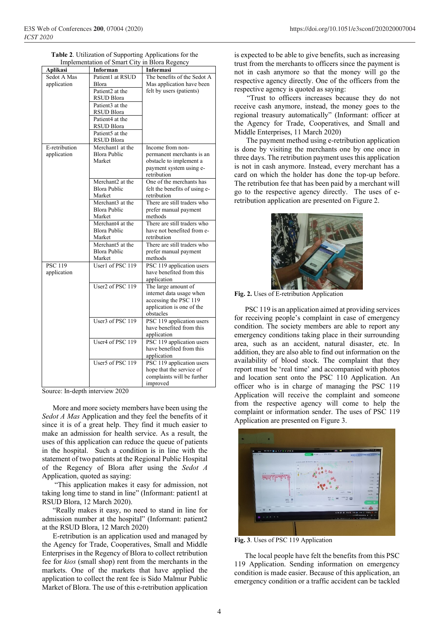| <b>Table 2.</b> Utilization of Supporting Applications for the |
|----------------------------------------------------------------|
| Implementation of Smart City in Blora Regency                  |

| <i>improment</i> | $\mathsf{v}_1$ binare $\mathsf{v}_1$ | $\mathbf{m}$ Divin Investive  |
|------------------|--------------------------------------|-------------------------------|
| Aplikasi         | <b>Informan</b>                      | Informasi                     |
| Sedot A Mas      | Patient1 at RSUD                     | The benefits of the Sedot A   |
| application      | <b>Blora</b>                         | Mas application have been     |
|                  | Patient <sub>2</sub> at the          | felt by users (patients)      |
|                  | RSUD Blora                           |                               |
|                  | Patient <sub>3</sub> at the          |                               |
|                  | <b>RSUD Blora</b>                    |                               |
|                  | Patient <sub>4</sub> at the          |                               |
|                  | <b>RSUD Blora</b>                    |                               |
|                  | Patient <sub>5</sub> at the          |                               |
|                  | <b>RSUD Blora</b>                    |                               |
| E-retribution    | Merchant1 at the                     | Income from non-              |
| application      | <b>Blora Public</b>                  | permanent merchants is an     |
|                  | Market                               | obstacle to implement a       |
|                  |                                      | payment system using e-       |
|                  |                                      | retribution                   |
|                  | Merchant2 at the                     | One of the merchants has      |
|                  | <b>Blora Public</b>                  | felt the benefits of using e- |
|                  | Market                               | retribution                   |
|                  | Merchant3 at the                     | There are still traders who   |
|                  | <b>Blora Public</b>                  | prefer manual payment         |
|                  | Market                               | methods                       |
|                  | Merchant4 at the                     | There are still traders who   |
|                  | <b>Blora Public</b>                  | have not benefited from e-    |
|                  | Market                               | retribution                   |
|                  | Merchant5 at the                     | There are still traders who   |
|                  | <b>Blora Public</b>                  | prefer manual payment         |
|                  | Market                               | methods                       |
| <b>PSC 119</b>   | User1 of PSC 119                     | PSC 119 application users     |
| application      |                                      | have benefited from this      |
|                  |                                      | application                   |
|                  | User2 of PSC 119                     | The large amount of           |
|                  |                                      | internet data usage when      |
|                  |                                      | accessing the PSC 119         |
|                  |                                      | application is one of the     |
|                  |                                      | obstacles                     |
|                  | User <sub>3</sub> of PSC 119         | PSC 119 application users     |
|                  |                                      | have benefited from this      |
|                  |                                      | application                   |
|                  | User4 of PSC 119                     | PSC 119 application users     |
|                  |                                      | have benefited from this      |
|                  |                                      | application                   |
|                  | User5 of PSC 119                     | PSC 119 application users     |
|                  |                                      | hope that the service of      |
|                  |                                      | complaints will be further    |
|                  |                                      | improved                      |

Source: In-depth interview 2020

More and more society members have been using the *Sedot A Mas* Application and they feel the benefits of it since it is of a great help. They find it much easier to make an admission for health service. As a result, the uses of this application can reduce the queue of patients in the hospital. Such a condition is in line with the statement of two patients at the Regional Public Hospital of the Regency of Blora after using the *Sedot A* Application, quoted as saying:

"This application makes it easy for admission, not taking long time to stand in line" (Informant: patient1 at RSUD Blora, 12 March 2020).

"Really makes it easy, no need to stand in line for admission number at the hospital" (Informant: patient2 at the RSUD Blora, 12 March 2020)

E-retribution is an application used and managed by the Agency for Trade, Cooperatives, Small and Middle Enterprises in the Regency of Blora to collect retribution fee for *kios* (small shop) rent from the merchants in the markets. One of the markets that have applied the application to collect the rent fee is Sido Malmur Public Market of Blora. The use of this e-retribution application is expected to be able to give benefits, such as increasing trust from the merchants to officers since the payment is not in cash anymore so that the money will go the respective agency directly. One of the officers from the respective agency is quoted as saying:

"Trust to officers increases because they do not receive cash anymore, instead, the money goes to the regional treasury automatically" (Informant: officer at the Agency for Trade, Cooperatives, and Small and Middle Enterprises, 11 March 2020)

The payment method using e-retribution application is done by visiting the merchants one by one once in three days. The retribution payment uses this application is not in cash anymore. Instead, every merchant has a card on which the holder has done the top-up before. The retribution fee that has been paid by a merchant will go to the respective agency directly. The uses of eretribution application are presented on Figure 2.



**Fig. 2.** Uses of E-retribution Application

PSC 119 is an application aimed at providing services for receiving people's complaint in case of emergency condition. The society members are able to report any emergency conditions taking place in their surrounding area, such as an accident, natural disaster, etc. In addition, they are also able to find out information on the availability of blood stock. The complaint that they report must be 'real time' and accompanied with photos and location sent onto the PSC 110 Application. An officer who is in charge of managing the PSC 119 Application will receive the complaint and someone from the respective agency will come to help the complaint or information sender. The uses of PSC 119 Application are presented on Figure 3.



**Fig. 3**. Uses of PSC 119 Application

The local people have felt the benefits from this PSC 119 Application. Sending information on emergency condition is made easier. Because of this application, an emergency condition or a traffic accident can be tackled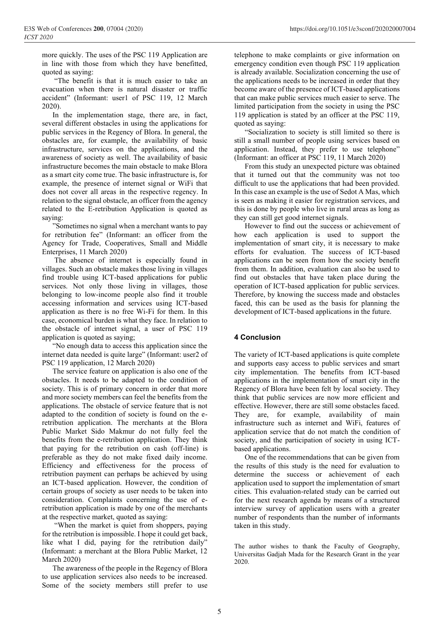more quickly. The uses of the PSC 119 Application are in line with those from which they have benefitted, quoted as saying:

"The benefit is that it is much easier to take an evacuation when there is natural disaster or traffic accident" (Informant: user1 of PSC 119, 12 March 2020).

In the implementation stage, there are, in fact, several different obstacles in using the applications for public services in the Regency of Blora. In general, the obstacles are, for example, the availability of basic infrastructure, services on the applications, and the awareness of society as well. The availability of basic infrastructure becomes the main obstacle to make Blora as a smart city come true. The basic infrastructure is, for example, the presence of internet signal or WiFi that does not cover all areas in the respective regency. In relation to the signal obstacle, an officer from the agency related to the E-retribution Application is quoted as saying:

"Sometimes no signal when a merchant wants to pay for retribution fee" (Informant: an officer from the Agency for Trade, Cooperatives, Small and Middle Enterprises, 11 March 2020)

The absence of internet is especially found in villages. Such an obstacle makes those living in villages find trouble using ICT-based applications for public services. Not only those living in villages, those belonging to low-income people also find it trouble accessing information and services using ICT-based application as there is no free Wi-Fi for them. In this case, economical burden is what they face. In relation to the obstacle of internet signal, a user of PSC 119 application is quoted as saying;

"No enough data to access this application since the internet data needed is quite large" (Informant: user2 of PSC 119 application, 12 March 2020)

The service feature on application is also one of the obstacles. It needs to be adapted to the condition of society. This is of primary concern in order that more and more society members can feel the benefits from the applications. The obstacle of service feature that is not adapted to the condition of society is found on the eretribution application. The merchants at the Blora Public Market Sido Makmur do not fully feel the benefits from the e-retribution application. They think that paying for the retribution on cash (off-line) is preferable as they do not make fixed daily income. Efficiency and effectiveness for the process of retribution payment can perhaps be achieved by using an ICT-based application. However, the condition of certain groups of society as user needs to be taken into consideration. Complaints concerning the use of eretribution application is made by one of the merchants at the respective market, quoted as saying:

"When the market is quiet from shoppers, paying for the retribution is impossible. I hope it could get back, like what I did, paying for the retribution daily" (Informant: a merchant at the Blora Public Market, 12 March 2020)

The awareness of the people in the Regency of Blora to use application services also needs to be increased. Some of the society members still prefer to use

telephone to make complaints or give information on emergency condition even though PSC 119 application is already available. Socialization concerning the use of the applications needs to be increased in order that they become aware of the presence of ICT-based applications that can make public services much easier to serve. The limited participation from the society in using the PSC 119 application is stated by an officer at the PSC 119, quoted as saying:

"Socialization to society is still limited so there is still a small number of people using services based on application. Instead, they prefer to use telephone" (Informant: an officer at PSC 119, 11 March 2020)

From this study an unexpected picture was obtained that it turned out that the community was not too difficult to use the applications that had been provided. In this case an example is the use of Sedot A Mas, which is seen as making it easier for registration services, and this is done by people who live in rural areas as long as they can still get good internet signals.

However to find out the success or achievement of how each application is used to support the implementation of smart city, it is necessary to make efforts for evaluation. The success of ICT-based applications can be seen from how the society benefit from them. In addition, evaluation can also be used to find out obstacles that have taken place during the operation of ICT-based application for public services. Therefore, by knowing the success made and obstacles faced, this can be used as the basis for planning the development of ICT-based applications in the future.

#### **4 Conclusion**

The variety of ICT-based applications is quite complete and supports easy access to public services and smart city implementation. The benefits from ICT-based applications in the implementation of smart city in the Regency of Blora have been felt by local society. They think that public services are now more efficient and effective. However, there are still some obstacles faced. They are, for example, availability of main infrastructure such as internet and WiFi, features of application service that do not match the condition of society, and the participation of society in using ICTbased applications.

One of the recommendations that can be given from the results of this study is the need for evaluation to determine the success or achievement of each application used to support the implementation of smart cities. This evaluation-related study can be carried out for the next research agenda by means of a structured interview survey of application users with a greater number of respondents than the number of informants taken in this study.

The author wishes to thank the Faculty of Geography, Universitas Gadjah Mada for the Research Grant in the year 2020.